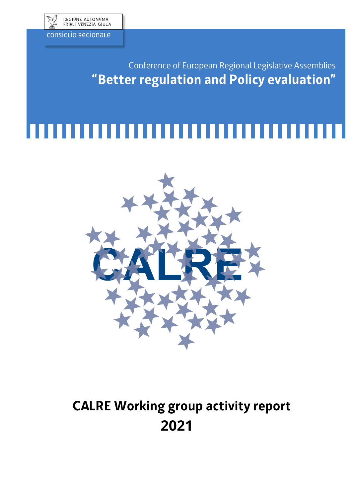

consiglio Regionale

REGIONE AUTONOMA<br>FRIULI VENEZIA GIULIA

Conference of European Regional Legislative Assemblies **"Better regulation and Policy evaluation"**



**CALRE Working group activity report 2021**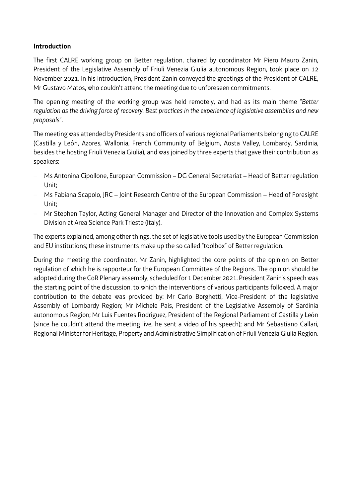## **Introduction**

The first CALRE working group on Better regulation, chaired by coordinator Mr Piero Mauro Zanin, President of the Legislative Assembly of Friuli Venezia Giulia autonomous Region, took place on 12 November 2021. In his introduction, President Zanin conveyed the greetings of the President of CALRE, Mr Gustavo Matos, who couldn't attend the meeting due to unforeseen commitments.

The opening meeting of the working group was held remotely, and had as its main theme "*Better regulation as the driving force of recovery. Best practices in the experience of legislative assemblies and new proposals*".

The meetingwas attended by Presidents and officers of various regional Parliaments belonging to CALRE (Castilla y Leόn, Azores, Wallonia, French Community of Belgium, Aosta Valley, Lombardy, Sardinia, besides the hosting Friuli Venezia Giulia), and was joined by three experts that gave their contribution as speakers:

- − Ms Antonina Cipollone, European Commission DG General Secretariat Head of Better regulation Unit;
- − Ms Fabiana Scapolo, JRC Joint Research Centre of the European Commission Head of Foresight Unit;
- − Mr Stephen Taylor, Acting General Manager and Director of the Innovation and Complex Systems Division at Area Science Park Trieste (Italy).

The experts explained, among other things, the set of legislative tools used by the European Commission and EU institutions; these instruments make up the so called "toolbox" of Better regulation.

During the meeting the coordinator, Mr Zanin, highlighted the core points of the opinion on Better regulation of which he is rapporteur for the European Committee of the Regions. The opinion should be adopted during the CoR Plenary assembly, scheduled for 1 December 2021. President Zanin's speech was the starting point of the discussion, to which the interventions of various participants followed. A major contribution to the debate was provided by: Mr Carlo Borghetti, Vice-President of the legislative Assembly of Lombardy Region; Mr Michele Pais, President of the Legislative Assembly of Sardinia autonomous Region; Mr Luis Fuentes Rodriguez, President of the Regional Parliament of Castilla y Leόn (since he couldn't attend the meeting live, he sent a video of his speech); and Mr Sebastiano Callari, Regional Minister for Heritage, Property and Administrative Simplification of Friuli Venezia Giulia Region.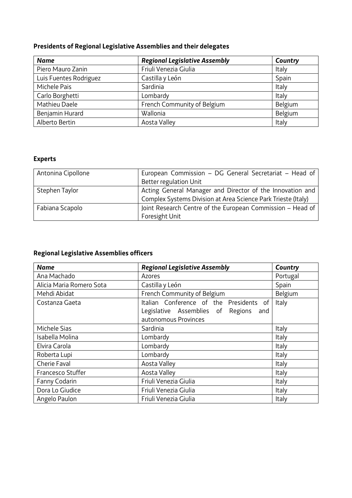# **Presidents of Regional Legislative Assemblies and their delegates**

| <b>Name</b>            | <b>Regional Legislative Assembly</b> | Country |
|------------------------|--------------------------------------|---------|
| Piero Mauro Zanin      | Friuli Venezia Giulia                | Italy   |
| Luis Fuentes Rodriguez | Castilla y León                      | Spain   |
| Michele Pais           | Sardinia                             | Italy   |
| Carlo Borghetti        | Lombardy                             | Italy   |
| Mathieu Daele          | French Community of Belgium          | Belgium |
| Benjamin Hurard        | Wallonia                             | Belgium |
| Alberto Bertin         | Aosta Valley                         | Italy   |

# **Experts**

| Antonina Cipollone | European Commission – DG General Secretariat – Head of        |  |
|--------------------|---------------------------------------------------------------|--|
|                    | <b>Better regulation Unit</b>                                 |  |
| Stephen Taylor     | Acting General Manager and Director of the Innovation and     |  |
|                    | Complex Systems Division at Area Science Park Trieste (Italy) |  |
| Fabiana Scapolo    | Joint Research Centre of the European Commission - Head of    |  |
|                    | Foresight Unit                                                |  |

# **Regional Legislative Assemblies officers**

| <b>Name</b>              | <b>Regional Legislative Assembly</b>     | Country  |
|--------------------------|------------------------------------------|----------|
| Ana Machado              | Azores                                   | Portugal |
| Alicia Maria Romero Sota | Castilla y León                          | Spain    |
| Mehdi Abidat             | French Community of Belgium              | Belgium  |
| Costanza Gaeta           | Italian Conference of the Presidents of  | Italy    |
|                          | Legislative Assemblies of Regions<br>and |          |
|                          | autonomous Provinces                     |          |
| Michele Sias             | Sardinia                                 | Italy    |
| Isabella Molina          | Lombardy                                 | Italy    |
| Elvira Carola            | Lombardy                                 | Italy    |
| Roberta Lupi             | Lombardy                                 | Italy    |
| Cherie Faval             | Aosta Valley                             | Italy    |
| Francesco Stuffer        | Aosta Valley                             | Italy    |
| <b>Fanny Codarin</b>     | Friuli Venezia Giulia                    | Italy    |
| Dora Lo Giudice          | Friuli Venezia Giulia                    | Italy    |
| Angelo Paulon            | Friuli Venezia Giulia                    | Italy    |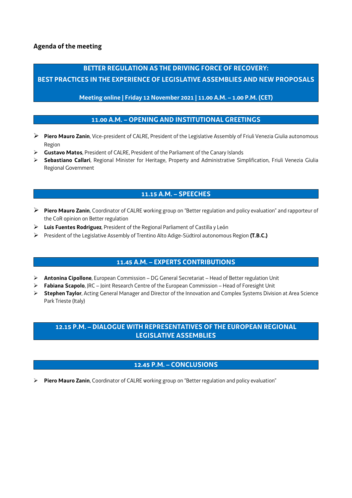#### **Agenda of the meeting**

# **BETTER REGULATION AS THE DRIVING FORCE OF RECOVERY: BEST PRACTICES IN THE EXPERIENCE OF LEGISLATIVE ASSEMBLIES AND NEW PROPOSALS**

#### **Meeting online | Friday 12 November 2021 | 11.00 A.M. – 1.00 P.M. (CET)**

#### **11.00 A.M. – OPENING AND INSTITUTIONAL GREETINGS**

- Piero Mauro Zanin, Vice-president of CALRE, President of the Legislative Assembly of Friuli Venezia Giulia autonomous Region
- **Gustavo Matos**, President of CALRE, President of the Parliament of the Canary Islands
- **Sebastiano Callari**, Regional Minister for Heritage, Property and Administrative Simplification, Friuli Venezia Giulia Regional Government

#### **11.15 A.M. – SPEECHES**

- **Piero Mauro Zanin**, Coordinator of CALRE working group on "Better regulation and policy evaluation" and rapporteur of the CoR opinion on Better regulation
- **Luis Fuentes Rodriguez**, President of the Regional Parliament of Castilla y Leόn
- President of the Legislative Assembly of Trentino Alto Adige-Südtirol autonomous Region **(T.B.C.)**

#### **11.45 A.M. – EXPERTS CONTRIBUTIONS**

- **Antonina Cipollone**, European Commission DG General Secretariat Head of Better regulation Unit
- **Fabiana Scapolo**, JRC Joint Research Centre of the European Commission Head of Foresight Unit
- **Stephen Taylor**, Acting General Manager and Director of the Innovation and Complex Systems Division at Area Science Park Trieste (Italy)

### **12.15 P.M. – DIALOGUE WITH REPRESENTATIVES OF THE EUROPEAN REGIONAL LEGISLATIVE ASSEMBLIES**

#### **12.45 P.M. – CONCLUSIONS**

**Piero Mauro Zanin**, Coordinator of CALRE working group on "Better regulation and policy evaluation"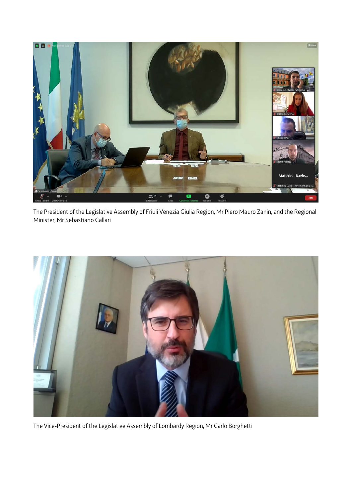

The President of the Legislative Assembly of Friuli Venezia Giulia Region, Mr Piero Mauro Zanin, and the Regional Minister, Mr Sebastiano Callari



The Vice-President of the Legislative Assembly of Lombardy Region, Mr Carlo Borghetti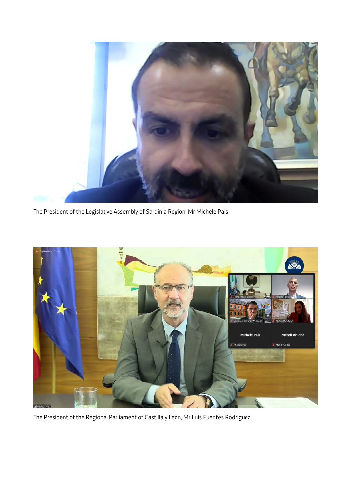

The President of the Legislative Assembly of Sardinia Region, Mr Michele Pais



The President of the Regional Parliament of Castilla y Leòn, Mr Luis Fuentes Rodriguez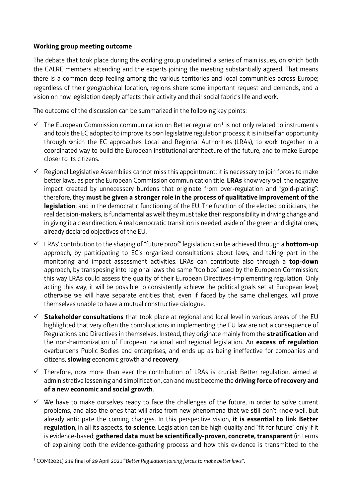### **Working group meeting outcome**

The debate that took place during the working group underlined a series of main issues, on which both the CALRE members attending and the experts joining the meeting substantially agreed. That means there is a common deep feeling among the various territories and local communities across Europe; regardless of their geographical location, regions share some important request and demands, and a vision on how legislation deeply affects their activity and their social fabric's life and work.

The outcome of the discussion can be summarized in the following key points:

- $\checkmark$  The European Commission communication on Better regulation<sup>[1](#page-6-0)</sup> is not only related to instruments and tools the EC adopted to improve its own legislative regulation process; it is in itself an opportunity through which the EC approaches Local and Regional Authorities (LRAs), to work together in a coordinated way to build the European institutional architecture of the future, and to make Europe closer to its citizens.
- $\checkmark$  Regional Legislative Assemblies cannot miss this appointment: it is necessary to join forces to make better laws, as per the European Commission communication title. **LRAs** know very well the negative impact created by unnecessary burdens that originate from over-regulation and "gold-plating": therefore, they **must be given a stronger role in the process of qualitative improvement of the legislation**, and in the democratic functioning of the EU. The function of the elected politicians, the real decision-makers, is fundamental as well: they must take their responsibility in driving change and in giving it a clear direction. A real democratic transition is needed, aside of the green and digital ones, already declared objectives of the EU.
- LRAs' contribution to the shaping of "future proof" legislation can be achieved through a **bottom-up** approach, by participating to EC's organized consultations about laws, and taking part in the monitoring and impact assessment activities. LRAs can contribute also through a **top-down** approach, by transposing into regional laws the same "toolbox" used by the European Commission: this way LRAs could assess the quality of their European Directives-implementing regulation. Only acting this way, it will be possible to consistently achieve the political goals set at European level; otherwise we will have separate entities that, even if faced by the same challenges, will prove themselves unable to have a mutual constructive dialogue.
- **Stakeholder consultations** that took place at regional and local level in various areas of the EU highlighted that very often the complications in implementing the EU law are not a consequence of Regulations and Directives in themselves. Instead, they originate mainly from the **stratification** and the non-harmonization of European, national and regional legislation. An **excess of regulation** overburdens Public Bodies and enterprises, and ends up as being ineffective for companies and citizens, **slowing** economic growth and **recovery**.
- $\checkmark$  Therefore, now more than ever the contribution of LRAs is crucial: Better regulation, aimed at administrative lessening and simplification, can and must become the **driving force of recovery and of a new economic and social growth**.
- $\checkmark$  We have to make ourselves ready to face the challenges of the future, in order to solve current problems, and also the ones that will arise from new phenomena that we still don't know well, but already anticipate the coming changes. In this perspective vision, **it is essential to link Better regulation**, in all its aspects, **to science**. Legislation can be high-quality and "fit for future" only if it is evidence-based; **gathered data must be scientifically-proven, concrete, transparent**(in terms of explaining both the evidence-gathering process and how this evidence is transmitted to the

<span id="page-6-0"></span> <sup>1</sup> COM(2021) 219 final of 29 April 2021 **"***Better [Regulation:](https://ec.europa.eu/info/files/better-regulation-joining-forces-make-better-laws_en) Joining forces to make better laws***"**.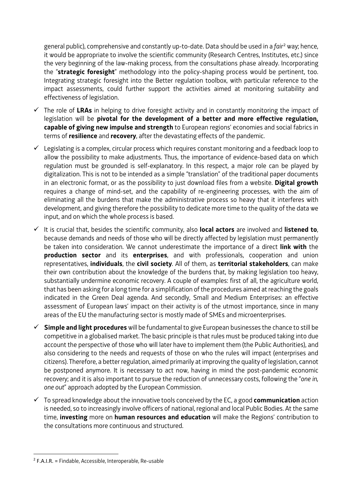general public), comprehensive and constantly up-to-date. Data should be used in a *fair*[2](#page-7-0) way; hence, it would be appropriate to involve the scientific community (Research Centres, Institutes, etc.) since the very beginning of the law-making process, from the consultations phase already. Incorporating the "**strategic foresight**" methodology into the policy-shaping process would be pertinent, too. Integrating strategic foresight into the Better regulation toolbox, with particular reference to the impact assessments, could further support the activities aimed at monitoring suitability and effectiveness of legislation.

- The role of **LRAs** in helping to drive foresight activity and in constantly monitoring the impact of legislation will be **pivotal for the development of a better and more effective regulation, capable of giving new impulse and strength** to European regions' economies and social fabrics in terms of **resilience** and **recovery**, after the devastating effects of the pandemic.
- $\checkmark$  Legislating is a complex, circular process which requires constant monitoring and a feedback loop to allow the possibility to make adjustments. Thus, the importance of evidence-based data on which regulation must be grounded is self-explanatory. In this respect, a major role can be played by digitalization. This is not to be intended as a simple "translation" of the traditional paper documents in an electronic format, or as the possibility to just download files from a website. **Digital growth**  requires a change of mind-set, and the capability of re-engineering processes, with the aim of eliminating all the burdens that make the administrative process so heavy that it interferes with development, and giving therefore the possibility to dedicate more time to the quality of the data we input, and on which the whole process is based.
- It is crucial that, besides the scientific community, also **local actors** are involved and **listened to**, because demands and needs of those who will be directly affected by legislation must permanently be taken into consideration. We cannot underestimate the importance of a direct **link with** the **production sector** and its **enterprises**, and with professionals, cooperation and union representatives, **individuals**, the **civil society**. All of them, as **territorial stakeholders**, can make their own contribution about the knowledge of the burdens that, by making legislation too heavy, substantially undermine economic recovery. A couple of examples: first of all, the agriculture world, that has been asking for a long time for a simplification of the procedures aimed at reaching the goals indicated in the Green Deal agenda. And secondly, Small and Medium Enterprises: an effective assessment of European laws' impact on their activity is of the utmost importance, since in many areas of the EU the manufacturing sector is mostly made of SMEs and microenterprises.
- **Simple and light procedures** will be fundamental to give European businesses the chance to still be competitive in a globalised market. The basic principle is that rules must be produced taking into due account the perspective of those who will later have to implement them (the Public Authorities), and also considering to the needs and requests of those on who the rules will impact (enterprises and citizens). Therefore, a better regulation, aimed primarily at improving the quality of legislation, cannot be postponed anymore. It is necessary to act now, having in mind the post-pandemic economic recovery; and it is also important to pursue the reduction of unnecessary costs, following the "*one in, one out*" approach adopted by the European Commission.
- To spread knowledge about the innovative tools conceived by the EC, a good **communication** action is needed, so to increasingly involve officers of national, regional and local Public Bodies. At the same time, **investing** more on **human resources and education** will make the Regions' contribution to the consultations more continuous and structured.

<span id="page-7-0"></span> $2$  F.A.I.R. = Findable, Accessible, Interoperable, Re-usable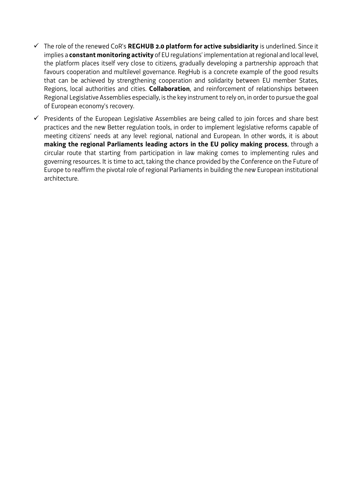- The role of the renewed CoR's **REGHUB 2.0 platform for active subsidiarity** is underlined. Since it implies a **constant monitoring activity** of EU regulations' implementation at regional and local level, the platform places itself very close to citizens, gradually developing a partnership approach that favours cooperation and multilevel governance. RegHub is a concrete example of the good results that can be achieved by strengthening cooperation and solidarity between EU member States, Regions, local authorities and cities. **Collaboration**, and reinforcement of relationships between Regional Legislative Assemblies especially, is the key instrument to rely on, in order to pursue the goal of European economy's recovery.
- $\checkmark$  Presidents of the European Legislative Assemblies are being called to join forces and share best practices and the new Better regulation tools, in order to implement legislative reforms capable of meeting citizens' needs at any level: regional, national and European. In other words, it is about **making the regional Parliaments leading actors in the EU policy making process**, through a circular route that starting from participation in law making comes to implementing rules and governing resources. It is time to act, taking the chance provided by the Conference on the Future of Europe to reaffirm the pivotal role of regional Parliaments in building the new European institutional architecture.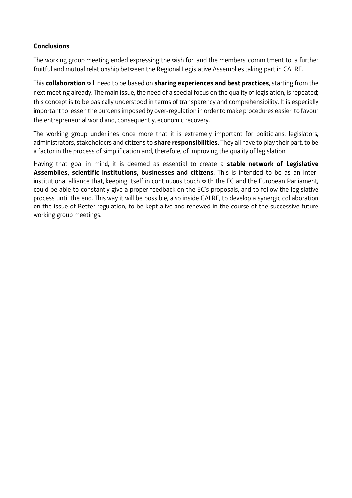# **Conclusions**

The working group meeting ended expressing the wish for, and the members' commitment to, a further fruitful and mutual relationship between the Regional Legislative Assemblies taking part in CALRE.

This **collaboration** will need to be based on **sharing experiences and best practices**, starting from the next meeting already. The main issue, the need of a special focus on the quality of legislation, is repeated; this concept is to be basically understood in terms of transparency and comprehensibility. It is especially important to lessen the burdens imposed by over-regulation in order tomake procedures easier, to favour the entrepreneurial world and, consequently, economic recovery.

The working group underlines once more that it is extremely important for politicians, legislators, administrators, stakeholders and citizens to **share responsibilities**. They all have to play their part, to be a factor in the process of simplification and, therefore, of improving the quality of legislation.

Having that goal in mind, it is deemed as essential to create a **stable network of Legislative Assemblies, scientific institutions, businesses and citizens**. This is intended to be as an interinstitutional alliance that, keeping itself in continuous touch with the EC and the European Parliament, could be able to constantly give a proper feedback on the EC's proposals, and to follow the legislative process until the end. This way it will be possible, also inside CALRE, to develop a synergic collaboration on the issue of Better regulation, to be kept alive and renewed in the course of the successive future working group meetings.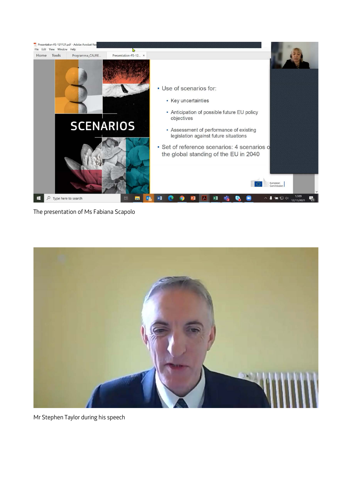

The presentation of Ms Fabiana Scapolo



Mr Stephen Taylor during his speech